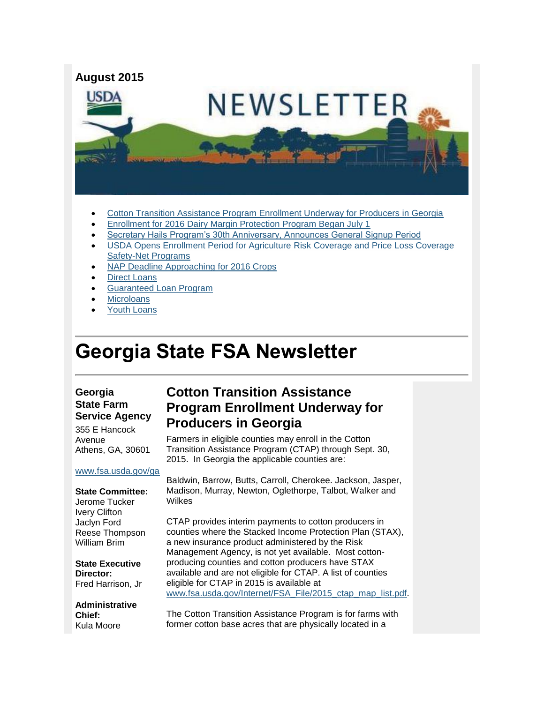

- [Cotton Transition Assistance Program Enrollment Underway for Producers in Georgia](#page-0-0)
- [Enrollment for 2016 Dairy Margin Protection Program Began July 1](#page-1-0)
- [Secretary Hails Program's 30th Anniversary, Announces General Signup Period](#page-2-0)
- [USDA Opens Enrollment Period for Agriculture Risk Coverage and Price Loss Coverage](#page-2-1)  [Safety-Net Programs](#page-2-1)
- [NAP Deadline Approaching for 2016 Crops](#page-3-0)
- [Direct Loans](#page-3-1)
- [Guaranteed Loan Program](#page-3-2)
- **[Microloans](#page-4-0)**
- [Youth Loans](#page-4-1)

# **Georgia State FSA Newsletter**

#### **Georgia State Farm Service Agency**

355 E Hancock Avenue Athens, GA, 30601

#### [www.fsa.usda.gov/ga](http://www.fsa.usda.gov/ga)

**State Committee:** Jerome Tucker Ivery Clifton Jaclyn Ford Reese Thompson William Brim

**State Executive Director:** Fred Harrison, Jr

**Administrative Chief:** Kula Moore

#### <span id="page-0-0"></span>**Cotton Transition Assistance Program Enrollment Underway for Producers in Georgia**

Farmers in eligible counties may enroll in the Cotton Transition Assistance Program (CTAP) through Sept. 30, 2015. In Georgia the applicable counties are:

Baldwin, Barrow, Butts, Carroll, Cherokee. Jackson, Jasper, Madison, Murray, Newton, Oglethorpe, Talbot, Walker and Wilkes

CTAP provides interim payments to cotton producers in counties where the Stacked Income Protection Plan (STAX), a new insurance product administered by the Risk Management Agency, is not yet available. Most cottonproducing counties and cotton producers have STAX available and are not eligible for CTAP. A list of counties eligible for CTAP in 2015 is available at [www.fsa.usda.gov/Internet/FSA\\_File/2015\\_ctap\\_map\\_list.pdf.](http://www.fsa.usda.gov/Internet/FSA_File/2015_ctap_map_list.pdf)

The Cotton Transition Assistance Program is for farms with former cotton base acres that are physically located in a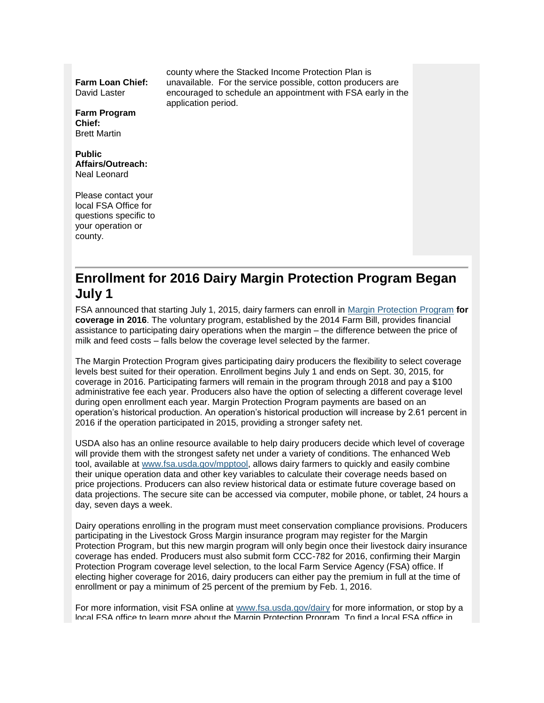**Farm Loan Chief:** David Laster

**Farm Program Chief:** Brett Martin

**Public Affairs/Outreach:** Neal Leonard

Please contact your local FSA Office for questions specific to your operation or county.

county where the Stacked Income Protection Plan is unavailable. For the service possible, cotton producers are encouraged to schedule an appointment with FSA early in the application period.

# <span id="page-1-0"></span>**Enrollment for 2016 Dairy Margin Protection Program Began July 1**

FSA announced that starting July 1, 2015, dairy farmers can enroll in [Margin Protection Program](http://www.fsa.usda.gov/FSA/webapp?area=home&subject=dmpp&topic=landing) **for coverage in 2016**. The voluntary program, established by the 2014 Farm Bill, provides financial assistance to participating dairy operations when the margin – the difference between the price of milk and feed costs – falls below the coverage level selected by the farmer.

The Margin Protection Program gives participating dairy producers the flexibility to select coverage levels best suited for their operation. Enrollment begins July 1 and ends on Sept. 30, 2015, for coverage in 2016. Participating farmers will remain in the program through 2018 and pay a \$100 administrative fee each year. Producers also have the option of selecting a different coverage level during open enrollment each year. Margin Protection Program payments are based on an operation's historical production. An operation's historical production will increase by 2.61 percent in 2016 if the operation participated in 2015, providing a stronger safety net.

USDA also has an online resource available to help dairy producers decide which level of coverage will provide them with the strongest safety net under a variety of conditions. The enhanced Web tool, available at [www.fsa.usda.gov/mpptool,](http://www.fsa.usda.gov/mpptool) allows dairy farmers to quickly and easily combine their unique operation data and other key variables to calculate their coverage needs based on price projections. Producers can also review historical data or estimate future coverage based on data projections. The secure site can be accessed via computer, mobile phone, or tablet, 24 hours a day, seven days a week.

Dairy operations enrolling in the program must meet conservation compliance provisions. Producers participating in the Livestock Gross Margin insurance program may register for the Margin Protection Program, but this new margin program will only begin once their livestock dairy insurance coverage has ended. Producers must also submit form CCC-782 for 2016, confirming their Margin Protection Program coverage level selection, to the local Farm Service Agency (FSA) office. If electing higher coverage for 2016, dairy producers can either pay the premium in full at the time of enrollment or pay a minimum of 25 percent of the premium by Feb. 1, 2016.

For more information, visit FSA online at [www.fsa.usda.gov/dairy](http://www.fsa.usda.gov/dairy) for more information, or stop by a local FSA office to learn more about the Margin Protection Program. To find a local FSA office in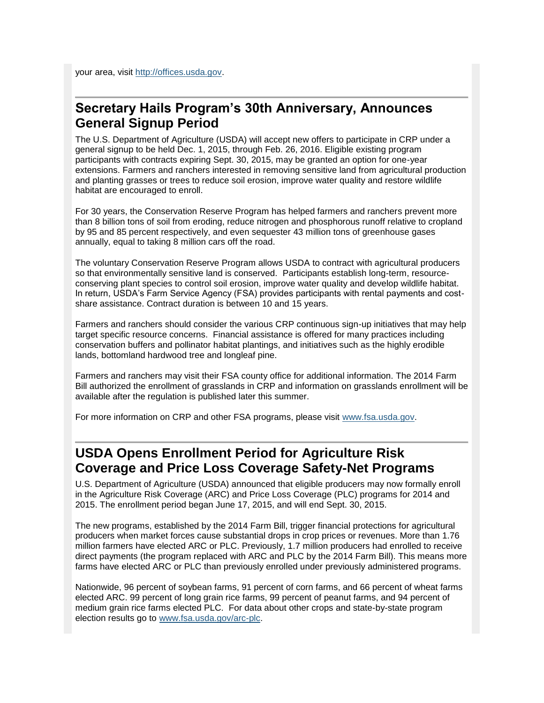your area, visit [http://offices.usda.gov.](http://offices.usda.gov/)

#### <span id="page-2-0"></span>**Secretary Hails Program's 30th Anniversary, Announces General Signup Period**

The U.S. Department of Agriculture (USDA) will accept new offers to participate in CRP under a general signup to be held Dec. 1, 2015, through Feb. 26, 2016. Eligible existing program participants with contracts expiring Sept. 30, 2015, may be granted an option for one-year extensions. Farmers and ranchers interested in removing sensitive land from agricultural production and planting grasses or trees to reduce soil erosion, improve water quality and restore wildlife habitat are encouraged to enroll.

For 30 years, the Conservation Reserve Program has helped farmers and ranchers prevent more than 8 billion tons of soil from eroding, reduce nitrogen and phosphorous runoff relative to cropland by 95 and 85 percent respectively, and even sequester 43 million tons of greenhouse gases annually, equal to taking 8 million cars off the road.

The voluntary Conservation Reserve Program allows USDA to contract with agricultural producers so that environmentally sensitive land is conserved. Participants establish long-term, resourceconserving plant species to control soil erosion, improve water quality and develop wildlife habitat. In return, USDA's Farm Service Agency (FSA) provides participants with rental payments and costshare assistance. Contract duration is between 10 and 15 years.

Farmers and ranchers should consider the various CRP continuous sign-up initiatives that may help target specific resource concerns. Financial assistance is offered for many practices including conservation buffers and pollinator habitat plantings, and initiatives such as the highly erodible lands, bottomland hardwood tree and longleaf pine.

Farmers and ranchers may visit their FSA county office for additional information. The 2014 Farm Bill authorized the enrollment of grasslands in CRP and information on grasslands enrollment will be available after the regulation is published later this summer.

For more information on CRP and other FSA programs, please visit [www.fsa.usda.gov.](http://www.fsa.usda.gov/)

### <span id="page-2-1"></span>**USDA Opens Enrollment Period for Agriculture Risk Coverage and Price Loss Coverage Safety-Net Programs**

U.S. Department of Agriculture (USDA) announced that eligible producers may now formally enroll in the Agriculture Risk Coverage (ARC) and Price Loss Coverage (PLC) programs for 2014 and 2015. The enrollment period began June 17, 2015, and will end Sept. 30, 2015.

The new programs, established by the 2014 Farm Bill, trigger financial protections for agricultural producers when market forces cause substantial drops in crop prices or revenues. More than 1.76 million farmers have elected ARC or PLC. Previously, 1.7 million producers had enrolled to receive direct payments (the program replaced with ARC and PLC by the 2014 Farm Bill). This means more farms have elected ARC or PLC than previously enrolled under previously administered programs.

Nationwide, 96 percent of soybean farms, 91 percent of corn farms, and 66 percent of wheat farms elected ARC. 99 percent of long grain rice farms, 99 percent of peanut farms, and 94 percent of medium grain rice farms elected PLC. For data about other crops and state-by-state program election results go to [www.fsa.usda.gov/arc-plc.](http://www.fsa.usda.gov/arc-plc)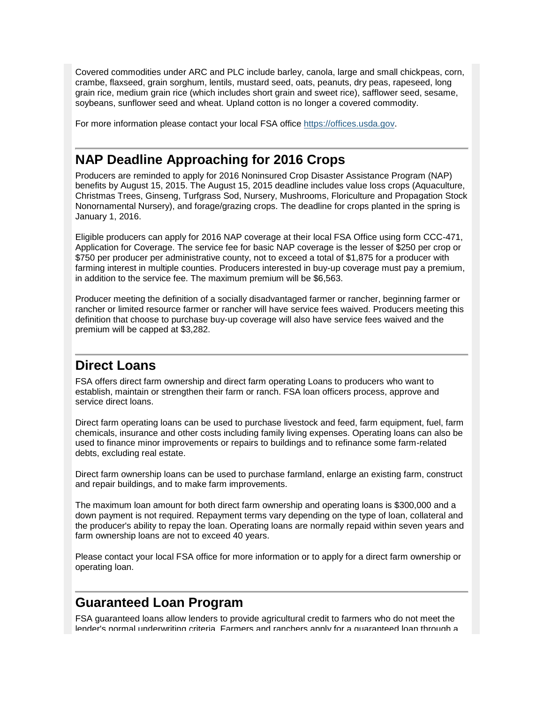Covered commodities under ARC and PLC include barley, canola, large and small chickpeas, corn, crambe, flaxseed, grain sorghum, lentils, mustard seed, oats, peanuts, dry peas, rapeseed, long grain rice, medium grain rice (which includes short grain and sweet rice), safflower seed, sesame, soybeans, sunflower seed and wheat. Upland cotton is no longer a covered commodity.

For more information please contact your local FSA office [https://offices.usda.gov.](https://offices.usda.gov/)

## <span id="page-3-0"></span>**NAP Deadline Approaching for 2016 Crops**

Producers are reminded to apply for 2016 Noninsured Crop Disaster Assistance Program (NAP) benefits by August 15, 2015. The August 15, 2015 deadline includes value loss crops (Aquaculture, Christmas Trees, Ginseng, Turfgrass Sod, Nursery, Mushrooms, Floriculture and Propagation Stock Nonornamental Nursery), and forage/grazing crops. The deadline for crops planted in the spring is January 1, 2016.

Eligible producers can apply for 2016 NAP coverage at their local FSA Office using form CCC-471, Application for Coverage. The service fee for basic NAP coverage is the lesser of \$250 per crop or \$750 per producer per administrative county, not to exceed a total of \$1,875 for a producer with farming interest in multiple counties. Producers interested in buy-up coverage must pay a premium, in addition to the service fee. The maximum premium will be \$6,563.

Producer meeting the definition of a socially disadvantaged farmer or rancher, beginning farmer or rancher or limited resource farmer or rancher will have service fees waived. Producers meeting this definition that choose to purchase buy-up coverage will also have service fees waived and the premium will be capped at \$3,282.

# <span id="page-3-1"></span>**Direct Loans**

FSA offers direct farm ownership and direct farm operating Loans to producers who want to establish, maintain or strengthen their farm or ranch. FSA loan officers process, approve and service direct loans.

Direct farm operating loans can be used to purchase livestock and feed, farm equipment, fuel, farm chemicals, insurance and other costs including family living expenses. Operating loans can also be used to finance minor improvements or repairs to buildings and to refinance some farm-related debts, excluding real estate.

Direct farm ownership loans can be used to purchase farmland, enlarge an existing farm, construct and repair buildings, and to make farm improvements.

The maximum loan amount for both direct farm ownership and operating loans is \$300,000 and a down payment is not required. Repayment terms vary depending on the type of loan, collateral and the producer's ability to repay the loan. Operating loans are normally repaid within seven years and farm ownership loans are not to exceed 40 years.

Please contact your local FSA office for more information or to apply for a direct farm ownership or operating loan.

#### <span id="page-3-2"></span>**Guaranteed Loan Program**

FSA guaranteed loans allow lenders to provide agricultural credit to farmers who do not meet the lender's normal underwriting criteria. Farmers and ranchers apply for a guaranteed loan through a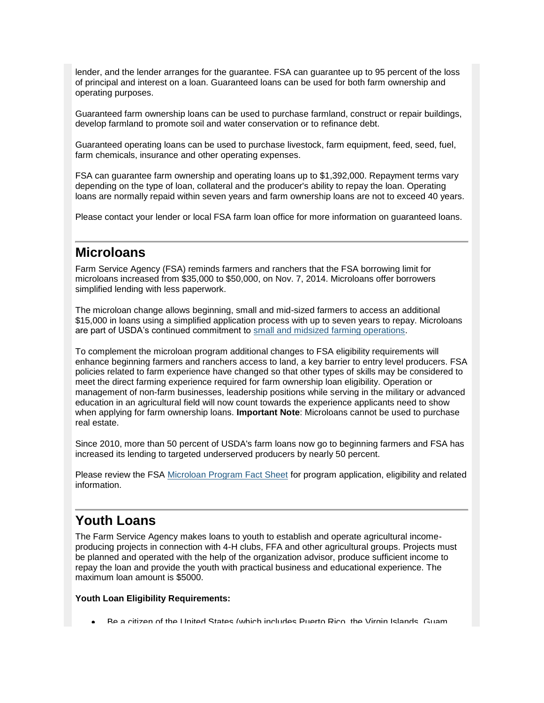lender, and the lender arranges for the guarantee. FSA can guarantee up to 95 percent of the loss of principal and interest on a loan. Guaranteed loans can be used for both farm ownership and operating purposes.

Guaranteed farm ownership loans can be used to purchase farmland, construct or repair buildings, develop farmland to promote soil and water conservation or to refinance debt.

Guaranteed operating loans can be used to purchase livestock, farm equipment, feed, seed, fuel, farm chemicals, insurance and other operating expenses.

FSA can guarantee farm ownership and operating loans up to \$1,392,000. Repayment terms vary depending on the type of loan, collateral and the producer's ability to repay the loan. Operating loans are normally repaid within seven years and farm ownership loans are not to exceed 40 years.

Please contact your lender or local FSA farm loan office for more information on guaranteed loans.

#### <span id="page-4-0"></span>**Microloans**

Farm Service Agency (FSA) reminds farmers and ranchers that the FSA borrowing limit for microloans increased from \$35,000 to \$50,000, on Nov. 7, 2014. Microloans offer borrowers simplified lending with less paperwork.

The microloan change allows beginning, small and mid-sized farmers to access an additional \$15,000 in loans using a simplified application process with up to seven years to repay. Microloans are part of USDA's continued commitment to [small and midsized farming operations.](http://www.usda.gov/wps/portal/usda/usdahome?contentidonly=true&contentid=small-midsized-farmer-resources.xml)

To complement the microloan program additional changes to FSA eligibility requirements will enhance beginning farmers and ranchers access to land, a key barrier to entry level producers. FSA policies related to farm experience have changed so that other types of skills may be considered to meet the direct farming experience required for farm ownership loan eligibility. Operation or management of non-farm businesses, leadership positions while serving in the military or advanced education in an agricultural field will now count towards the experience applicants need to show when applying for farm ownership loans. **Important Note**: Microloans cannot be used to purchase real estate.

Since 2010, more than 50 percent of USDA's farm loans now go to beginning farmers and FSA has increased its lending to targeted underserved producers by nearly 50 percent.

Please review the FSA [Microloan Program Fact Sheet](http://www.fsa.usda.gov/Internet/FSA_File/microloans_facts_2014.pdf) for program application, eligibility and related information.

### <span id="page-4-1"></span>**Youth Loans**

The Farm Service Agency makes loans to youth to establish and operate agricultural incomeproducing projects in connection with 4-H clubs, FFA and other agricultural groups. Projects must be planned and operated with the help of the organization advisor, produce sufficient income to repay the loan and provide the youth with practical business and educational experience. The maximum loan amount is \$5000.

#### **Youth Loan Eligibility Requirements:**

Be a citizen of the United States (which includes Puerto Rico, the Virgin Islands, Guam,